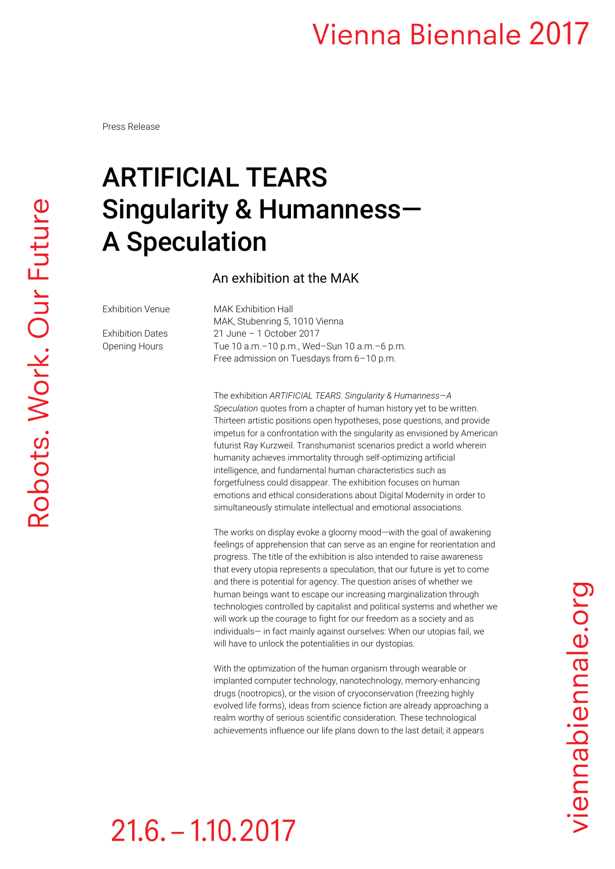#### **Vienna Biennale 2017**

Press Release

## ARTIFICIAL TEARS Singularity & Humanness— A Speculation

An exhibition at the MAK

Exhibition Venue MAK Exhibition Hall MAK, Stubenring 5, 1010 Vienna Exhibition Dates 21 June – 1 October 2017 Opening Hours Tue 10 a.m.–10 p.m., Wed–Sun 10 a.m.–6 p.m. Free admission on Tuesdays from 6–10 p.m.

> The exhibition *ARTIFICIAL TEARS. Singularity & Humanness—A Speculation* quotes from a chapter of human history yet to be written. Thirteen artistic positions open hypotheses, pose questions, and provide impetus for a confrontation with the singularity as envisioned by American futurist Ray Kurzweil. Transhumanist scenarios predict a world wherein humanity achieves immortality through self-optimizing artificial intelligence, and fundamental human characteristics such as forgetfulness could disappear. The exhibition focuses on human emotions and ethical considerations about Digital Modernity in order to simultaneously stimulate intellectual and emotional associations.

> The works on display evoke a gloomy mood—with the goal of awakening feelings of apprehension that can serve as an engine for reorientation and progress. The title of the exhibition is also intended to raise awareness that every utopia represents a speculation, that our future is yet to come and there is potential for agency. The question arises of whether we human beings want to escape our increasing marginalization through technologies controlled by capitalist and political systems and whether we will work up the courage to fight for our freedom as a society and as individuals— in fact mainly against ourselves: When our utopias fail, we will have to unlock the potentialities in our dystopias.

With the optimization of the human organism through wearable or implanted computer technology, nanotechnology, memory-enhancing drugs (nootropics), or the vision of cryoconservation (freezing highly evolved life forms), ideas from science fiction are already approaching a realm worthy of serious scientific consideration. These technological achievements influence our life plans down to the last detail; it appears

viennabiennale.org

## $21.6 - 1.10.2017$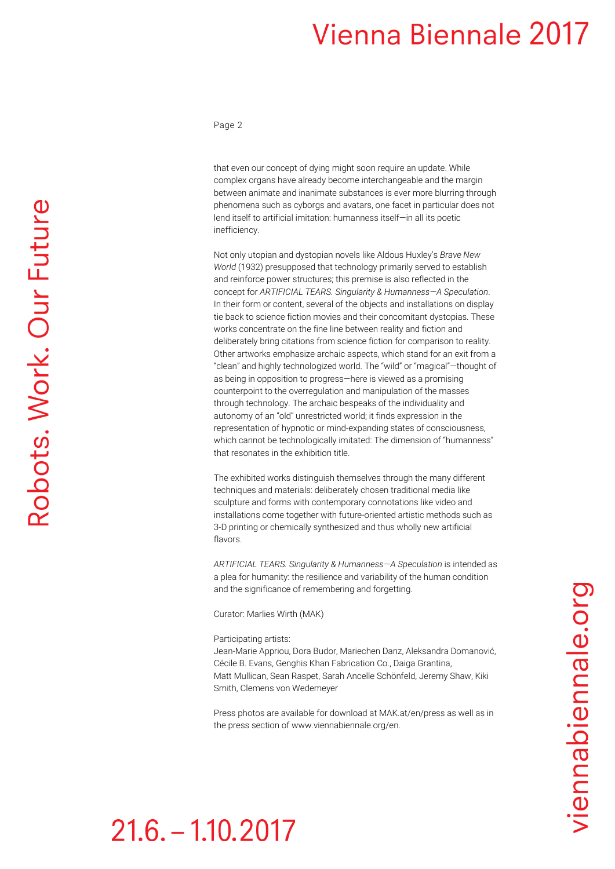#### **Vienna Biennale 2017**

Page 2

that even our concept of dying might soon require an update. While complex organs have already become interchangeable and the margin between animate and inanimate substances is ever more blurring through phenomena such as cyborgs and avatars, one facet in particular does not lend itself to artificial imitation: humanness itself—in all its poetic inefficiency.

Not only utopian and dystopian novels like Aldous Huxley's *Brave New World* (1932) presupposed that technology primarily served to establish and reinforce power structures; this premise is also reflected in the concept for *ARTIFICIAL TEARS. Singularity & Humanness—A Speculation*. In their form or content, several of the objects and installations on display tie back to science fiction movies and their concomitant dystopias. These works concentrate on the fine line between reality and fiction and deliberately bring citations from science fiction for comparison to reality. Other artworks emphasize archaic aspects, which stand for an exit from a "clean" and highly technologized world. The "wild" or "magical"—thought of as being in opposition to progress—here is viewed as a promising counterpoint to the overregulation and manipulation of the masses through technology. The archaic bespeaks of the individuality and autonomy of an "old" unrestricted world; it finds expression in the representation of hypnotic or mind-expanding states of consciousness, which cannot be technologically imitated: The dimension of "humanness" that resonates in the exhibition title.

The exhibited works distinguish themselves through the many different techniques and materials: deliberately chosen traditional media like sculpture and forms with contemporary connotations like video and installations come together with future-oriented artistic methods such as 3-D printing or chemically synthesized and thus wholly new artificial flavors.

*ARTIFICIAL TEARS. Singularity & Humanness—A Speculation* is intended as a plea for humanity: the resilience and variability of the human condition and the significance of remembering and forgetting.

Curator: Marlies Wirth (MAK)

Participating artists:

Jean-Marie Appriou, Dora Budor, Mariechen Danz, Aleksandra Domanović, Cécile B. Evans, Genghis Khan Fabrication Co., Daiga Grantina, Matt Mullican, Sean Raspet, Sarah Ancelle Schönfeld, Jeremy Shaw, Kiki Smith, Clemens von Wedemeyer

Press photos are available for download at MAK.at/en/press as well as in the press section o[f www.viennabiennale.org/](http://www.viennabiennale.org/)en.

# $21.6 - 1.10.2017$